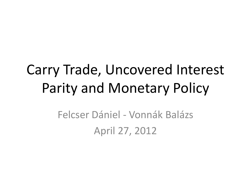### Carry Trade, Uncovered Interest Parity and Monetary Policy

Felcser Dániel - Vonnák Balázs April 27, 2012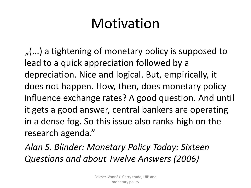$($ ...) a tightening of monetary policy is supposed to lead to a quick appreciation followed by a depreciation. Nice and logical. But, empirically, it does not happen. How, then, does monetary policy influence exchange rates? A good question. And until it gets a good answer, central bankers are operating in a dense fog. So this issue also ranks high on the research agenda."

*Alan S. Blinder: Monetary Policy Today: Sixteen Questions and about Twelve Answers (2006)*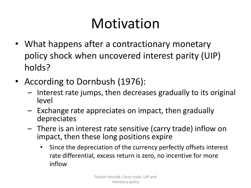- What happens after a contractionary monetary policy shock when uncovered interest parity (UIP) holds?
- According to Dornbush (1976):
	- Interest rate jumps, then decreases gradually to its original level
	- Exchange rate appreciates on impact, then gradually depreciates
	- There is an interest rate sensitive (carry trade) inflow on impact, then these long positions expire
		- Since the depreciation of the currency perfectly offsets interest rate differential, excess return is zero, no incentive for more inflow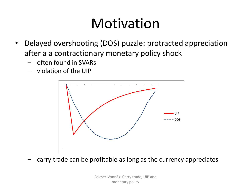- Delayed overshooting (DOS) puzzle: protracted appreciation after a a contractionary monetary policy shock
	- often found in SVARs
	- violation of the UIP



– carry trade can be profitable as long as the currency appreciates

Felcser-Vonnák: Carry trade, UIP and monetary policy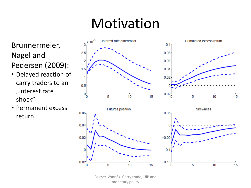Brunnermeier, Nagel and Pedersen (2009):

- Delayed reaction of carry traders to an "interest rate shock"
- Permanent excess return



Felcser-Vonnák: Carry trade, UIP and monetary policy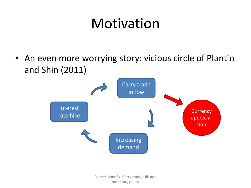• An even more worrying story: vicious circle of Plantin and Shin (2011)

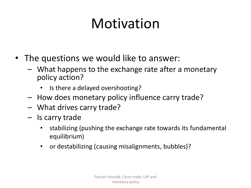- The questions we would like to answer:
	- What happens to the exchange rate after a monetary policy action?
		- Is there a delayed overshooting?
	- How does monetary policy influence carry trade?
	- What drives carry trade?
	- Is carry trade
		- stabilizing (pushing the exchange rate towards its fundamental equilibrium)
		- or destabilizing (causing misalignments, bubbles)?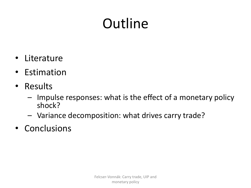# **Outline**

- Literature
- Estimation
- Results
	- Impulse responses: what is the effect of a monetary policy shock?
	- Variance decomposition: what drives carry trade?
- Conclusions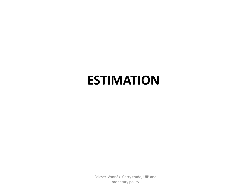### **ESTIMATION**

Felcser-Vonnák: Carry trade, UIP and monetary policy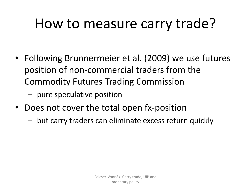# How to measure carry trade?

- Following Brunnermeier et al. (2009) we use futures position of non-commercial traders from the Commodity Futures Trading Commission
	- pure speculative position
- Does not cover the total open fx-position
	- but carry traders can eliminate excess return quickly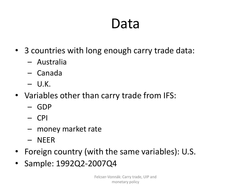### Data

- 3 countries with long enough carry trade data:
	- Australia
	- Canada
	- U.K.
- Variables other than carry trade from IFS:
	- GDP
	- CPI
	- money market rate
	- NEER
- Foreign country (with the same variables): U.S.
- Sample: 1992Q2-2007Q4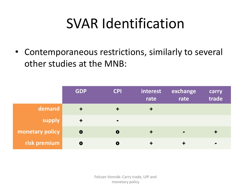### SVAR Identification

• Contemporaneous restrictions, similarly to several other studies at the MNB:

|                 | <b>GDP</b>           | <b>CPI</b>                   | interest<br>rate | exchange<br>rate             | carry<br>trade |
|-----------------|----------------------|------------------------------|------------------|------------------------------|----------------|
| demand          |                      |                              | $\ddotmark$      |                              |                |
| supply          | $\ddot{\phantom{1}}$ | $\qquad \qquad \blacksquare$ |                  |                              |                |
| monetary policy | $\bullet$            | $\mathbf 0$                  | $\ddagger$       | $\qquad \qquad \blacksquare$ |                |
| risk premium    | $\mathbf 0$          | O                            |                  |                              | $\bullet$      |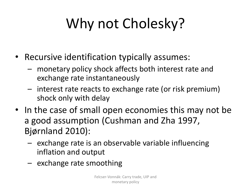# Why not Cholesky?

- Recursive identification typically assumes:
	- monetary policy shock affects both interest rate and exchange rate instantaneously
	- interest rate reacts to exchange rate (or risk premium) shock only with delay
- In the case of small open economies this may not be a good assumption (Cushman and Zha 1997, Bjørnland 2010):
	- exchange rate is an observable variable influencing inflation and output
	- exchange rate smoothing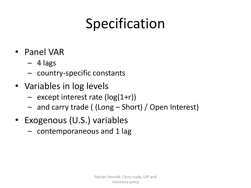# Specification

- Panel VAR
	- $-4$  lags
	- country-specific constants
- Variables in log levels
	- $-$  except interest rate ( $log(1+r)$ )
	- and carry trade ( (Long Short) / Open Interest)
- Exogenous (U.S.) variables
	- contemporaneous and 1 lag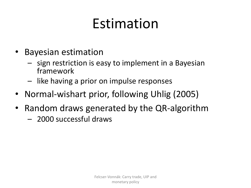# Estimation

- Bayesian estimation
	- sign restriction is easy to implement in a Bayesian framework
	- like having a prior on impulse responses
- Normal-wishart prior, following Uhlig (2005)
- Random draws generated by the QR-algorithm
	- 2000 successful draws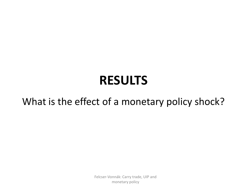### **RESULTS**

#### What is the effect of a monetary policy shock?

Felcser-Vonnák: Carry trade, UIP and monetary policy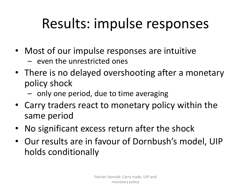# Results: impulse responses

- Most of our impulse responses are intuitive
	- even the unrestricted ones
- There is no delayed overshooting after a monetary policy shock
	- only one period, due to time averaging
- Carry traders react to monetary policy within the same period
- No significant excess return after the shock
- Our results are in favour of Dornbush's model, UIP holds conditionally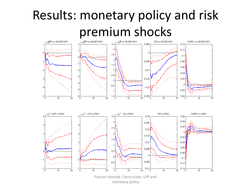# Results: monetary policy and risk **premium shocks**



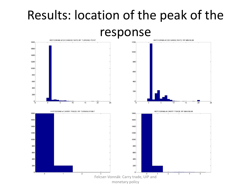### Results: location of the peak of the

#### response

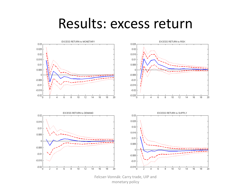### Results: excess return

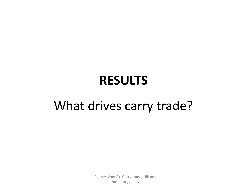### **RESULTS**

### What drives carry trade?

Felcser-Vonnák: Carry trade, UIP and monetary policy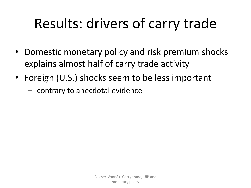## Results: drivers of carry trade

- Domestic monetary policy and risk premium shocks explains almost half of carry trade activity
- Foreign (U.S.) shocks seem to be less important
	- contrary to anecdotal evidence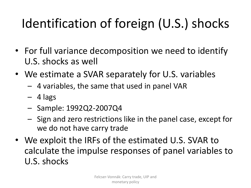### Identification of foreign (U.S.) shocks

- For full variance decomposition we need to identify U.S. shocks as well
- We estimate a SVAR separately for U.S. variables
	- 4 variables, the same that used in panel VAR
	- $-4$  lags
	- Sample: 1992Q2-2007Q4
	- Sign and zero restrictions like in the panel case, except for we do not have carry trade
- We exploit the IRFs of the estimated U.S. SVAR to calculate the impulse responses of panel variables to U.S. shocks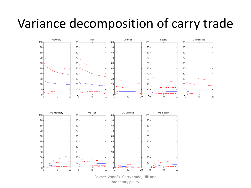### Variance decomposition of carry trade

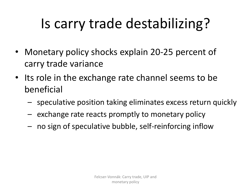# Is carry trade destabilizing?

- Monetary policy shocks explain 20-25 percent of carry trade variance
- Its role in the exchange rate channel seems to be beneficial
	- speculative position taking eliminates excess return quickly
	- exchange rate reacts promptly to monetary policy
	- no sign of speculative bubble, self-reinforcing inflow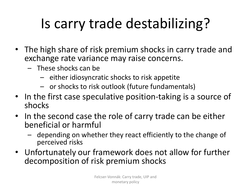# Is carry trade destabilizing?

- The high share of risk premium shocks in carry trade and exchange rate variance may raise concerns.
	- These shocks can be
		- either idiosyncratic shocks to risk appetite
		- or shocks to risk outlook (future fundamentals)
- In the first case speculative position-taking is a source of shocks
- In the second case the role of carry trade can be either beneficial or harmful
	- depending on whether they react efficiently to the change of perceived risks
- Unfortunately our framework does not allow for further decomposition of risk premium shocks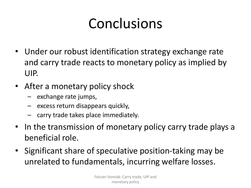# Conclusions

- Under our robust identification strategy exchange rate and carry trade reacts to monetary policy as implied by UIP.
- After a monetary policy shock
	- exchange rate jumps,
	- excess return disappears quickly,
	- carry trade takes place immediately.
- In the transmission of monetary policy carry trade plays a beneficial role.
- Significant share of speculative position-taking may be unrelated to fundamentals, incurring welfare losses.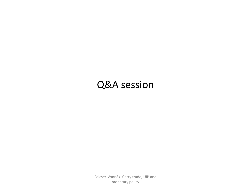#### Q&A session

Felcser-Vonnák: Carry trade, UIP and monetary policy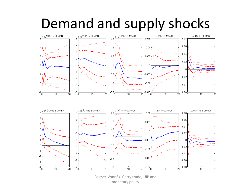# Demand and supply shocks



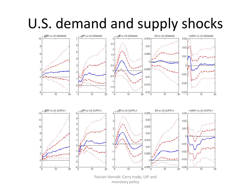# U.S. demand and supply shocks



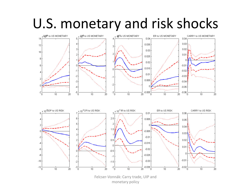### U.S. monetary and risk shocks

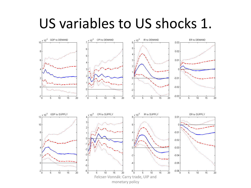### US variables to US shocks 1.

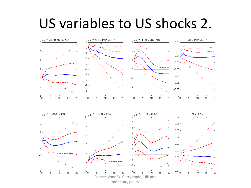### US variables to US shocks 2.